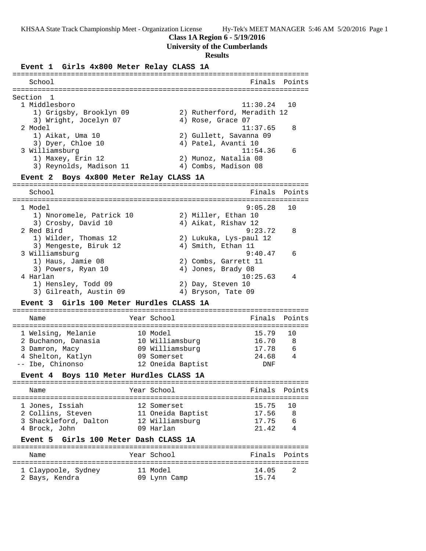# **Class 1A Region 6 - 5/19/2016**

# **University of the Cumberlands**

# **Results**

# **Event 1 Girls 4x800 Meter Relay CLASS 1A**

| School                                            |                   | Finals                     | Points |
|---------------------------------------------------|-------------------|----------------------------|--------|
|                                                   |                   |                            |        |
| Section<br>-1                                     |                   |                            |        |
| 1 Middlesboro                                     |                   | 11:30.24                   | 10     |
| 1) Grigsby, Brooklyn 09                           |                   | 2) Rutherford, Meradith 12 |        |
| 3) Wright, Jocelyn 07                             |                   | 4) Rose, Grace 07          |        |
| 2 Model                                           |                   | 11:37.65                   | 8      |
| 1) Aikat, Uma 10                                  |                   | 2) Gullett, Savanna 09     |        |
| 3) Dyer, Chloe 10                                 |                   | 4) Patel, Avanti 10        |        |
| 3 Williamsburg                                    |                   | 11:54.36                   | 6      |
| 1) Maxey, Erin 12                                 |                   | 2) Munoz, Natalia 08       |        |
| 3) Reynolds, Madison 11                           |                   | 4) Combs, Madison 08       |        |
| Boys 4x800 Meter Relay CLASS 1A<br><b>Event 2</b> |                   |                            |        |
|                                                   |                   |                            |        |
| School                                            |                   | Finals                     | Points |
| 1 Model                                           |                   | 9:05.28                    | 10     |
| 1) Nnoromele, Patrick 10                          |                   | 2) Miller, Ethan 10        |        |
| 3) Crosby, David 10                               |                   | 4) Aikat, Rishav 12        |        |
| 2 Red Bird                                        |                   | 9:23.72                    | 8      |
| 1) Wilder, Thomas 12                              |                   | 2) Lukuka, Lys-paul 12     |        |
| 3) Mengeste, Biruk 12                             |                   | 4) Smith, Ethan 11         |        |
| 3 Williamsburg                                    |                   | 9:40.47                    | 6      |
| 1) Haus, Jamie 08                                 |                   | 2) Combs, Garrett 11       |        |
| 3) Powers, Ryan 10                                |                   | 4) Jones, Brady 08         |        |
| 4 Harlan                                          |                   | 10:25.63                   | 4      |
| 1) Hensley, Todd 09                               |                   | 2) Day, Steven 10          |        |
| 3) Gilreath, Austin 09                            |                   | 4) Bryson, Tate 09         |        |
| Event 3 Girls 100 Meter Hurdles CLASS 1A          |                   |                            |        |
|                                                   |                   |                            |        |
| Name                                              | Year School       | Finals                     | Points |
| 1 Welsing, Melanie                                | 10 Model          | 15.79                      | 10     |
| 2 Buchanon, Danasia                               | 10 Williamsburg   | 16.70                      | 8      |
| 3 Damron, Macy                                    | 09 Williamsburg   | 17.78                      | 6      |
| 4 Shelton, Katlyn                                 | 09 Somerset       | 24.68                      | 4      |
| -- Ibe, Chinonso                                  | 12 Oneida Baptist | <b>DNF</b>                 |        |
| Event 4 Boys 110 Meter Hurdles CLASS 1A           |                   |                            |        |
|                                                   |                   |                            |        |
| Name                                              | Year School       | Finals                     | Points |
| l Jones, Issiah                                   | 12 Somerset       | 15.75                      | 10     |
| 2 Collins, Steven                                 | 11 Oneida Baptist | 17.56                      | 8      |
| 3 Shackleford, Dalton                             | 12 Williamsburg   | 17.75                      | 6      |
| 4 Brock, John                                     | 09 Harlan         | 21.42                      | 4      |
| Girls 100 Meter Dash CLASS 1A<br>Event 5          |                   |                            |        |
|                                                   |                   |                            |        |
| Name                                              | Year School       | Finals                     | Points |
| 1 Claypoole, Sydney                               | 11 Model          | 14.05                      | 2      |
| 2 Bays, Kendra                                    | 09 Lynn Camp      | 15.74                      |        |
|                                                   |                   |                            |        |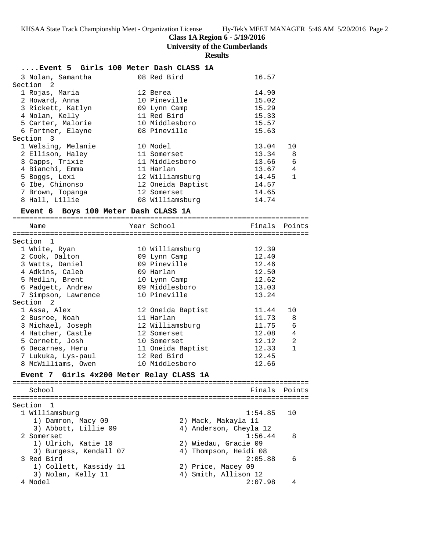**Class 1A Region 6 - 5/19/2016**

**University of the Cumberlands**

**Results**

| Event 5 Girls 100 Meter Dash CLASS 1A |                   |               |                |
|---------------------------------------|-------------------|---------------|----------------|
| 3 Nolan, Samantha                     | 08 Red Bird       | 16.57         |                |
| Section 2                             |                   |               |                |
| 1 Rojas, Maria                        | 12 Berea          | 14.90         |                |
| 2 Howard, Anna                        | 10 Pineville      | 15.02         |                |
| 3 Rickett, Katlyn                     | 09 Lynn Camp      | 15.29         |                |
| 4 Nolan, Kelly                        | 11 Red Bird       | 15.33         |                |
| 5 Carter, Malorie                     | 10 Middlesboro    | 15.57         |                |
| 6 Fortner, Elayne                     | 08 Pineville      | 15.63         |                |
| Section 3                             |                   |               |                |
| 1 Welsing, Melanie                    | 10 Model          | 13.04         | 10             |
| 2 Ellison, Haley                      | 11 Somerset       | 13.34 8       |                |
| 3 Capps, Trixie                       | 11 Middlesboro    | 13.66 6       |                |
| 4 Bianchi, Emma                       | 11 Harlan         | 13.67         | $\overline{4}$ |
| 5 Boggs, Lexi                         | 12 Williamsburg   | 14.45         | $\mathbf{1}$   |
| 6 Ibe, Chinonso                       | 12 Oneida Baptist | 14.57         |                |
| 7 Brown, Topanga                      | 12 Somerset       | 14.65         |                |
| 8 Hall, Lillie                        | 08 Williamsburg   | 14.74         |                |
| Event 6 Boys 100 Meter Dash CLASS 1A  |                   |               |                |
| Name                                  | Year School       | Finals Points |                |

=======================================================================  $S = \frac{1}{2}$   $\frac{1}{2}$ 

| Section 1           |                   |       |              |
|---------------------|-------------------|-------|--------------|
| 1 White, Ryan       | 10 Williamsburg   | 12.39 |              |
| 2 Cook, Dalton      | 09 Lynn Camp      | 12.40 |              |
| 3 Watts, Daniel     | 09 Pineville      | 12.46 |              |
| 4 Adkins, Caleb     | 09 Harlan         | 12.50 |              |
| 5 Medlin, Brent     | 10 Lynn Camp      | 12.62 |              |
| 6 Padgett, Andrew   | 09 Middlesboro    | 13.03 |              |
| 7 Simpson, Lawrence | 10 Pineville      | 13.24 |              |
| Section 2           |                   |       |              |
| 1 Assa, Alex        | 12 Oneida Baptist | 11.44 | 10           |
| 2 Busroe, Noah      | 11 Harlan         | 11.73 | 8            |
| 3 Michael, Joseph   | 12 Williamsburg   | 11.75 | 6            |
| 4 Hatcher, Castle   | 12 Somerset       | 12.08 | 4            |
| 5 Cornett, Josh     | 10 Somerset       | 12.12 | 2            |
| 6 Decarnes, Heru    | 11 Oneida Baptist | 12.33 | $\mathbf{1}$ |
| 7 Lukuka, Lys-paul  | 12 Red Bird       | 12.45 |              |
| 8 McWilliams, Owen  | 10 Middlesboro    | 12.66 |              |
|                     |                   |       |              |

#### **Event 7 Girls 4x200 Meter Relay CLASS 1A**

======================================================================= School **Finals** Points **School Finals** Points ======================================================================= Section 1 1 Williamsburg 1:54.85 10 1) Damron, Macy 09 2) Mack, Makayla 11 3) Abbott, Lillie 09 4) Anderson, Cheyla 12 2 Somerset 1:56.44 8 1) Ulrich, Katie 10 2) Wiedau, Gracie 09 3) Burgess, Kendall 07 4) Thompson, Heidi 08 3 Red Bird 2:05.88 6 1) Collett, Kassidy 11 and 2) Price, Macey 09 3) Nolan, Kelly 11 4) Smith, Allison 12 4 Model 2:07.98 4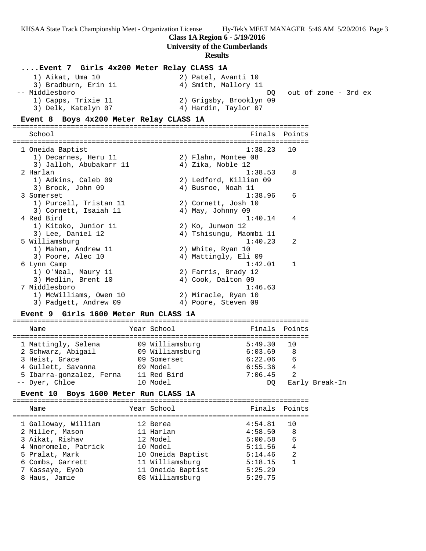**Class 1A Region 6 - 5/19/2016**

**University of the Cumberlands**

#### **Results**

### **....Event 7 Girls 4x200 Meter Relay CLASS 1A** 1) Aikat, Uma 10 2) Patel, Avanti 10 3) Bradburn, Erin 11 (4) Amith, Mallory 11 -- Middlesboro DQ out of zone - 3rd ex 1) Capps, Trixie 11 2) Grigsby, Brooklyn 09 3) Delk, Katelyn 07 (4) Hardin, Taylor 07 **Event 8 Boys 4x200 Meter Relay CLASS 1A** ======================================================================= School **Finals Points** ======================================================================= 1 Oneida Baptist 1:38.23 10 1) Decarnes, Heru 11 (2) Flahn, Montee 08 3) Jalloh, Abubakarr 11  $\qquad \qquad$  4) Zika, Noble 12 2 Harlan 1:38.53 8 1) Adkins, Caleb 09 2) Ledford, Killian 09 3) Brock, John 09 (4) Busroe, Noah 11 3 Somerset 1:38.96 6 1) Purcell, Tristan 11 2) Cornett, Josh 10 3) Cornett, Isaiah 11  $\qquad \qquad$  4) May, Johnny 09 4 Red Bird 1:40.14 4 1) Kitoko, Junior 11 2) Ko, Junwon 12 3) Lee, Daniel 12 4) Tshisungu, Maombi 11 5 Williamsburg 1:40.23 2 1) Mahan, Andrew 11 2) White, Ryan 10 3) Poore, Alec 10 4) Mattingly, Eli 09 6 Lynn Camp 1:42.01 1 1) O'Neal, Maury 11 2) Farris, Brady 12 3) Medlin, Brent 10 4) Cook, Dalton 09 7 Middlesboro 1:46.63 1) McWilliams, Owen 10 2) Miracle, Ryan 10 3) Padgett, Andrew 09 (4) Poore, Steven 09 **Event 9 Girls 1600 Meter Run CLASS 1A** ======================================================================= Name The Year School The Finals Points ======================================================================= 1 Mattingly, Selena 09 Williamsburg 5:49.30 10 2 Schwarz, Abigail 09 Williamsburg 6:03.69 8 3 Heist, Grace 09 Somerset 6:22.06 6 4 Gullett, Savanna 09 Model 6:55.36 4 5 Ibarra-gonzalez, Ferna 11 Red Bird 7:06.45 2 -- Dyer, Chloe 10 Model DQ Early Break-In **Event 10 Boys 1600 Meter Run CLASS 1A** ======================================================================= Name The Year School The Finals Points ======================================================================= 1 Galloway, William 12 Berea 4:54.81 10 2 Miller, Mason 11 Harlan 4:58.50 8 3 Aikat, Rishav 12 Model 5:00.58 6 4 Nnoromele, Patrick 10 Model 5:11.56 4 5 Pralat, Mark 10 Oneida Baptist 5:14.46 2

 6 Combs, Garrett 11 Williamsburg 5:18.15 1 7 Kassaye, Eyob 11 Oneida Baptist 5:25.29 8 Haus, Jamie 08 Williamsburg 5:29.75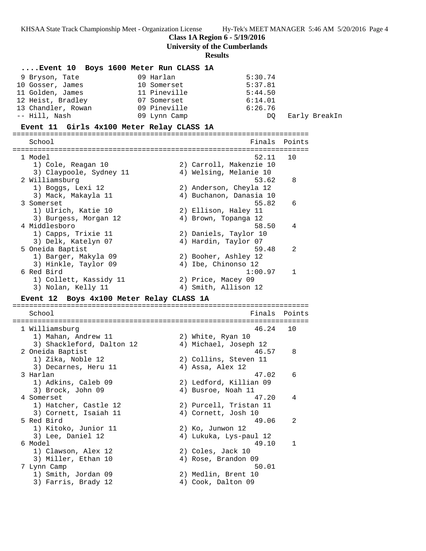**Class 1A Region 6 - 5/19/2016**

**University of the Cumberlands**

| Event 10 Boys 1600 Meter Run CLASS 1A     |              |                         |        |               |
|-------------------------------------------|--------------|-------------------------|--------|---------------|
| 9 Bryson, Tate                            | 09 Harlan    | 5:30.74                 |        |               |
| 10 Gosser, James                          | 10 Somerset  | 5:37.81                 |        |               |
| 11 Golden, James                          | 11 Pineville | 5:44.50                 |        |               |
| 12 Heist, Bradley                         | 07 Somerset  | 6:14.01                 |        |               |
| 13 Chandler, Rowan                        | 09 Pineville | 6:26.76                 |        |               |
| -- Hill, Nash                             | 09 Lynn Camp | DO.                     |        | Early BreakIn |
|                                           |              |                         |        |               |
| Event 11 Girls 4x100 Meter Relay CLASS 1A |              |                         |        |               |
| School                                    |              | Finals                  | Points |               |
| 1 Model                                   |              | 52.11                   | 10     |               |
| 1) Cole, Reagan 10                        |              | 2) Carroll, Makenzie 10 |        |               |
| 3) Claypoole, Sydney 11                   |              | 4) Welsing, Melanie 10  |        |               |
|                                           |              | 53.62                   |        |               |
| 2 Williamsburg                            |              |                         | 8      |               |
| 1) Boggs, Lexi 12                         |              | 2) Anderson, Cheyla 12  |        |               |
| 3) Mack, Makayla 11                       |              | 4) Buchanon, Danasia 10 |        |               |
| 3 Somerset                                |              | 55.82                   | 6      |               |
| 1) Ulrich, Katie 10                       |              | 2) Ellison, Haley 11    |        |               |
| 3) Burgess, Morgan 12                     |              | 4) Brown, Topanga 12    |        |               |
| 4 Middlesboro                             |              | 58.50                   | 4      |               |
| 1) Capps, Trixie 11                       |              | 2) Daniels, Taylor 10   |        |               |
| 3) Delk, Katelyn 07                       |              | 4) Hardin, Taylor 07    |        |               |
| 5 Oneida Baptist                          |              | 59.48                   | 2      |               |
| 1) Barger, Makyla 09                      |              | 2) Booher, Ashley 12    |        |               |
| 3) Hinkle, Taylor 09                      |              | 4) Ibe, Chinonso 12     |        |               |
| 6 Red Bird                                |              | 1:00.97                 | 1      |               |
| 1) Collett, Kassidy 11                    |              | 2) Price, Macey 09      |        |               |
| 3) Nolan, Kelly 11                        |              | 4) Smith, Allison 12    |        |               |
| Event 12 Boys 4x100 Meter Relay CLASS 1A  |              |                         |        |               |
|                                           |              |                         |        |               |
| School                                    |              | Finals                  | Points |               |
|                                           |              | 46.24                   | 10     |               |
| 1 Williamsburg                            |              |                         |        |               |
| 1) Mahan, Andrew 11                       |              | 2) White, Ryan 10       |        |               |
| 3) Shackleford, Dalton 12                 |              | 4) Michael, Joseph 12   |        |               |
| 2 Oneida Baptist                          |              | 46.57                   | 8      |               |
| 1) Zika, Noble 12                         |              | 2) Collins, Steven 11   |        |               |
| 3) Decarnes, Heru 11                      |              | 4) Assa, Alex 12        |        |               |
| 3 Harlan                                  |              | 47.02                   | 6      |               |
| 1) Adkins, Caleb 09                       |              | 2) Ledford, Killian 09  |        |               |
| 3) Brock, John 09                         |              | 4) Busroe, Noah 11      |        |               |
| 4 Somerset                                |              | 47.20                   | 4      |               |
| 1) Hatcher, Castle 12                     |              | 2) Purcell, Tristan 11  |        |               |
| 3) Cornett, Isaiah 11                     |              | 4) Cornett, Josh 10     |        |               |
| 5 Red Bird                                |              | 49.06                   | 2      |               |
| 1) Kitoko, Junior 11                      |              | 2) Ko, Junwon 12        |        |               |
| 3) Lee, Daniel 12                         |              | 4) Lukuka, Lys-paul 12  |        |               |
| 6 Model                                   |              | 49.10                   | 1      |               |
| 1) Clawson, Alex 12                       |              | 2) Coles, Jack 10       |        |               |
| 3) Miller, Ethan 10                       |              | 4) Rose, Brandon 09     |        |               |
| 7 Lynn Camp                               |              | 50.01                   |        |               |
| 1) Smith, Jordan 09                       |              | 2) Medlin, Brent 10     |        |               |
| 3) Farris, Brady 12                       |              | 4) Cook, Dalton 09      |        |               |
|                                           |              |                         |        |               |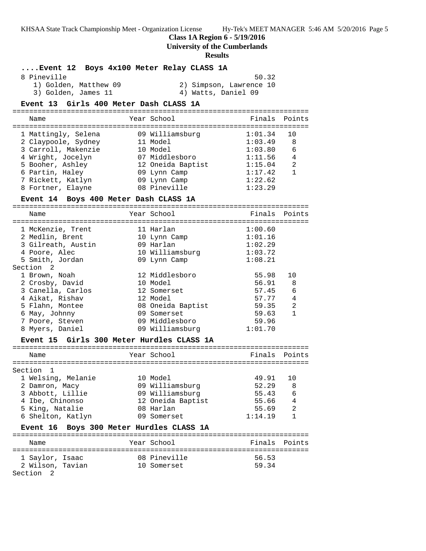**Class 1A Region 6 - 5/19/2016**

**University of the Cumberlands**

| Event 12 Boys 4x100 Meter Relay CLASS 1A           |                      |                         |                    |                |
|----------------------------------------------------|----------------------|-------------------------|--------------------|----------------|
| 8 Pineville                                        |                      |                         | 50.32              |                |
| 1) Golden, Matthew 09                              |                      | 2) Simpson, Lawrence 10 |                    |                |
| 3) Golden, James 11                                |                      | 4) Watts, Daniel 09     |                    |                |
| Event 13 Girls 400 Meter Dash CLASS 1A             |                      |                         |                    |                |
|                                                    |                      |                         |                    |                |
| Name                                               | Year School          |                         | Finals             | Points         |
|                                                    |                      |                         |                    |                |
| 1 Mattingly, Selena                                | 09 Williamsburg      |                         | 1:01.34            | 10             |
| 2 Claypoole, Sydney<br>3 Carroll, Makenzie         | 11 Model<br>10 Model |                         | 1:03.49<br>1:03.80 | 8<br>6         |
| 4 Wright, Jocelyn                                  | 07 Middlesboro       |                         | 1:11.56            | 4              |
|                                                    |                      |                         | 1:15.04            | 2              |
| 5 Booher, Ashley<br>6 Partin, Haley                | 09 Lynn Camp         | 12 Oneida Baptist       | 1:17.42            | 1              |
| 7 Rickett, Katlyn                                  | 09 Lynn Camp         |                         | 1:22.62            |                |
| 8 Fortner, Elayne                                  | 08 Pineville         |                         | 1:23.29            |                |
|                                                    |                      |                         |                    |                |
| Event 14 Boys 400 Meter Dash CLASS 1A              |                      |                         |                    |                |
| Name                                               | Year School          |                         | Finals             | Points         |
|                                                    |                      |                         |                    |                |
| 1 McKenzie, Trent                                  | 11 Harlan            |                         | 1:00.60            |                |
| 2 Medlin, Brent                                    | 10 Lynn Camp         |                         | 1:01.16            |                |
| 3 Gilreath, Austin                                 | 09 Harlan            |                         | 1:02.29            |                |
| 4 Poore, Alec                                      |                      | 10 Williamsburg         | 1:03.72            |                |
| 5 Smith, Jordan                                    | 09 Lynn Camp         |                         | 1:08.21            |                |
| Section 2                                          |                      |                         |                    |                |
| 1 Brown, Noah                                      | 12 Middlesboro       |                         | 55.98              | 10             |
| 2 Crosby, David                                    | 10 Model             |                         | 56.91              | 8              |
| 3 Canella, Carlos                                  | 12 Somerset          |                         | 57.45              | 6              |
| 4 Aikat, Rishav                                    | 12 Model             |                         | 57.77              | 4              |
| 5 Flahn, Montee                                    |                      | 08 Oneida Baptist       | 59.35              | $\overline{2}$ |
| 6 May, Johnny                                      | 09 Somerset          |                         | 59.63              | $\mathbf{1}$   |
| 7 Poore, Steven                                    | 09 Middlesboro       |                         | 59.96              |                |
| 8 Myers, Daniel                                    |                      | 09 Williamsburg         | 1:01.70            |                |
| Girls 300 Meter Hurdles CLASS 1A<br>Event 15       |                      |                         |                    |                |
|                                                    |                      |                         |                    |                |
| Name                                               | Year School          |                         | Finals Points      |                |
|                                                    |                      |                         |                    |                |
| Section<br>1                                       |                      |                         |                    |                |
| 1 Welsing, Melanie                                 | 10 Model             |                         | 49.91              | 10             |
| 2 Damron, Macy                                     | 09 Williamsburg      |                         | 52.29              | 8              |
| 3 Abbott, Lillie                                   | 09 Williamsburg      |                         | 55.43              | 6              |
| 4 Ibe, Chinonso                                    |                      | 12 Oneida Baptist       | 55.66              | $\overline{4}$ |
| 5 King, Natalie                                    | 08 Harlan            |                         | 55.69              | $\overline{a}$ |
| 6 Shelton, Katlyn                                  | 09 Somerset          |                         | 1:14.19            | 1              |
| Boys 300 Meter Hurdles CLASS 1A<br><b>Event 16</b> |                      |                         |                    |                |
|                                                    |                      |                         |                    |                |
| Name                                               | Year School          |                         | Finals             | Points         |
| 1 Saylor, Isaac                                    | 08 Pineville         |                         | 56.53              |                |
| 2 Wilson, Tavian                                   | 10 Somerset          |                         | 59.34              |                |
| Section 2                                          |                      |                         |                    |                |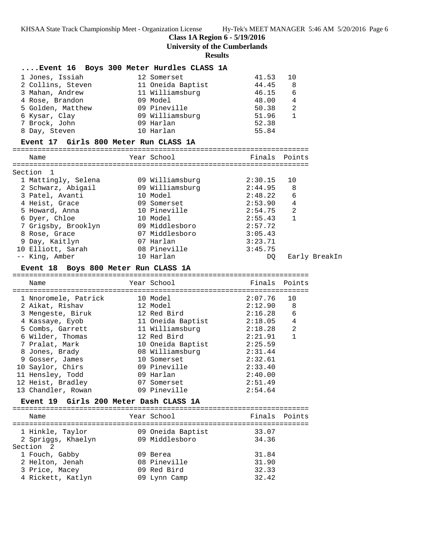**Class 1A Region 6 - 5/19/2016**

**University of the Cumberlands**

| Event 16 Boys 300 Meter Hurdles CLASS 1A |                                      |               |                |               |
|------------------------------------------|--------------------------------------|---------------|----------------|---------------|
| 1 Jones, Issiah                          | 12 Somerset                          | 41.53         | 10             |               |
| 2 Collins, Steven                        | 11 Oneida Baptist                    | 44.45         | 8              |               |
| 3 Mahan, Andrew                          | 11 Williamsburg                      | 46.15         | 6              |               |
| 4 Rose, Brandon                          | 09 Model                             | 48.00         | 4              |               |
| 5 Golden, Matthew                        | 09 Pineville                         | 50.38         | 2              |               |
| 6 Kysar, Clay                            | 09 Williamsburg                      | 51.96         | $\mathbf{1}$   |               |
| 7 Brock, John                            | 09 Harlan                            | 52.38         |                |               |
| 8 Day, Steven                            | 10 Harlan                            | 55.84         |                |               |
| Event 17 Girls 800 Meter Run CLASS 1A    |                                      |               |                |               |
|                                          |                                      |               |                |               |
| Name                                     | Year School                          | Finals Points |                |               |
| Section 1                                |                                      |               |                |               |
| 1 Mattingly, Selena                      | 09 Williamsburg                      | 2:30.15       | 10             |               |
| 2 Schwarz, Abigail                       | 09 Williamsburg 2:44.95              |               | 8              |               |
| 3 Patel, Avanti                          | 10 Model                             | 2:48.22       | 6              |               |
| 4 Heist, Grace                           | 09 Somerset                          | 2:53.90       | $\overline{4}$ |               |
| 5 Howard, Anna                           | 10 Pineville                         | 2:54.75       | 2              |               |
| 6 Dyer, Chloe                            | 10 Model                             | 2:55.43       | 1              |               |
| 7 Grigsby, Brooklyn                      | 09 Middlesboro                       | 2:57.72       |                |               |
|                                          |                                      |               |                |               |
| 8 Rose, Grace<br>9 Day, Kaitlyn          | 07 Middlesboro 3:05.43<br>07 Harlan  |               |                |               |
| 10 Elliott, Sarah                        | 08 Pineville                         | 3:23.71       |                |               |
|                                          | 10 Harlan                            | 3:45.75       |                |               |
| -- King, Amber                           |                                      | DQ            |                | Early BreakIn |
| Event 18 Boys 800 Meter Run CLASS 1A     |                                      |               |                |               |
| Name                                     | Year School                          | Finals Points |                |               |
|                                          |                                      |               |                |               |
| 1 Nnoromele, Patrick                     | 10 Model                             | 2:07.76       | 10             |               |
| 2 Aikat, Rishav                          | 12 Model                             | 2:12.90       | 8              |               |
| 3 Mengeste, Biruk                        | 12 Red Bird                          | 2:16.28       | 6              |               |
| 4 Kassaye, Eyob                          | 11 Oneida Baptist 2:18.05            |               | 4              |               |
| 5 Combs, Garrett                         | 11 Williamsburg                      | 2:18.28       | $\overline{2}$ |               |
| 6 Wilder, Thomas                         | 12 Red Bird                          | 2:21.91       | $\mathbf{1}$   |               |
| 7 Pralat, Mark                           |                                      | 2:25.59       |                |               |
| 8 Jones, Brady                           | 10 Oneida Baptist<br>08 Williamsburg | 2:31.44       |                |               |
| 9 Gosser, James                          | 10 Somerset                          | 2:32.61       |                |               |
| 10 Saylor, Chirs                         | 09 Pineville                         | 2:33.40       |                |               |
| 11 Hensley, Todd                         | 09 Harlan                            | 2:40.00       |                |               |
|                                          |                                      |               |                |               |
| 12 Heist, Bradley<br>13 Chandler, Rowan  | 07 Somerset                          | 2:51.49       |                |               |
|                                          | 09 Pineville                         | 2:54.64       |                |               |
| Event 19 Girls 200 Meter Dash CLASS 1A   |                                      |               |                |               |
| Name                                     | Year School                          | Finals        | Points         |               |
|                                          |                                      |               |                |               |
| 1 Hinkle, Taylor                         | 09 Oneida Baptist                    | 33.07         |                |               |
| 2 Spriggs, Khaelyn                       | 09 Middlesboro                       | 34.36         |                |               |
| Section 2                                |                                      |               |                |               |
| 1 Fouch, Gabby                           | 09 Berea                             | 31.84         |                |               |
| 2 Helton, Jenah                          | 08 Pineville                         | 31.90         |                |               |
| 3 Price, Macey                           | 09 Red Bird                          | 32.33         |                |               |
| 4 Rickett, Katlyn                        | 09 Lynn Camp                         | 32.42         |                |               |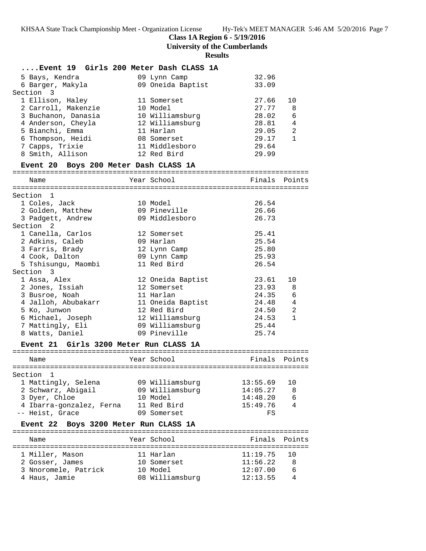**Class 1A Region 6 - 5/19/2016**

**University of the Cumberlands**

| Event 19 Girls 200 Meter Dash CLASS 1A           |                               |                |                                |
|--------------------------------------------------|-------------------------------|----------------|--------------------------------|
| 5 Bays, Kendra                                   | 09 Lynn Camp                  | 32.96          |                                |
| 6 Barger, Makyla<br>Section<br>-3                | 09 Oneida Baptist             | 33.09          |                                |
| 1 Ellison, Haley                                 | 11 Somerset                   | 27.66          | 10                             |
| 2 Carroll, Makenzie                              | 10 Model                      | 27.77          | 8                              |
|                                                  |                               | 28.02          | 6                              |
| 3 Buchanon, Danasia                              | 10 Williamsburg               | 28.81          | 4                              |
| 4 Anderson, Cheyla                               | 12 Williamsburg               |                |                                |
| 5 Bianchi, Emma                                  | 11 Harlan                     | 29.05<br>29.17 | $\overline{2}$<br>$\mathbf{1}$ |
| 6 Thompson, Heidi                                | 08 Somerset                   |                |                                |
| 7 Capps, Trixie<br>8 Smith, Allison              | 11 Middlesboro<br>12 Red Bird | 29.64<br>29.99 |                                |
| Event 20 Boys 200 Meter Dash CLASS 1A            |                               |                |                                |
|                                                  | Year School                   | Finals Points  |                                |
| Name                                             |                               |                |                                |
| Section 1                                        |                               |                |                                |
| 1 Coles, Jack                                    | 10 Model                      | 26.54          |                                |
| 2 Golden, Matthew                                | 09 Pineville                  | 26.66          |                                |
| 3 Padgett, Andrew                                | 09 Middlesboro                | 26.73          |                                |
| Section <sub>2</sub>                             |                               |                |                                |
| 1 Canella, Carlos                                | 12 Somerset                   | 25.41          |                                |
| 2 Adkins, Caleb                                  | 09 Harlan                     | 25.54          |                                |
| 3 Farris, Brady                                  | 12 Lynn Camp                  | 25.80          |                                |
| 4 Cook, Dalton                                   | 09 Lynn Camp                  | 25.93          |                                |
| 5 Tshisungu, Maombi                              | 11 Red Bird                   | 26.54          |                                |
| Section 3                                        |                               |                |                                |
| 1 Assa, Alex                                     | 12 Oneida Baptist             | 23.61          | 10                             |
| 2 Jones, Issiah                                  | 12 Somerset                   | 23.93          | 8                              |
| 3 Busroe, Noah                                   | 11 Harlan                     | 24.35          | 6                              |
| 4 Jalloh, Abubakarr                              | 11 Oneida Baptist             | 24.48          | 4                              |
| 5 Ko, Junwon                                     | 12 Red Bird                   | 24.50          | 2                              |
| 6 Michael, Joseph                                | 12 Williamsburg               | 24.53          | $\mathbf{1}$                   |
| 7 Mattingly, Eli                                 | 09 Williamsburg               | 25.44          |                                |
| 8 Watts, Daniel                                  | 09 Pineville                  | 25.74          |                                |
| Girls 3200 Meter Run CLASS 1A<br><b>Event 21</b> |                               |                |                                |
|                                                  |                               |                |                                |
| Name                                             | Year School                   | Finals         | Points                         |
| Section 1                                        |                               |                |                                |
| 1 Mattingly, Selena                              | 09 Williamsburg               | 13:55.69       | 10                             |
| 2 Schwarz, Abigail                               | 09 Williamsburg               | 14:05.27       | 8                              |
| 3 Dyer, Chloe                                    | 10 Model                      | 14:48.20       | 6                              |
| 4 Ibarra-gonzalez, Ferna                         | 11 Red Bird                   | 15:49.76       | 4                              |
| -- Heist, Grace                                  | 09 Somerset                   | FS             |                                |
| <b>Event 22</b><br>Boys 3200 Meter Run CLASS 1A  |                               |                |                                |
|                                                  |                               |                |                                |
| Name                                             | Year School                   | Finals         | Points                         |
| 1 Miller, Mason                                  | 11 Harlan                     | 11:19.75       | 10                             |
| 2 Gosser, James                                  | 10 Somerset                   | 11:56.22       | 8                              |
| 3 Nnoromele, Patrick                             | 10 Model                      | 12:07.00       | 6                              |
| 4 Haus, Jamie                                    | 08 Williamsburg               | 12:13.55       | 4                              |